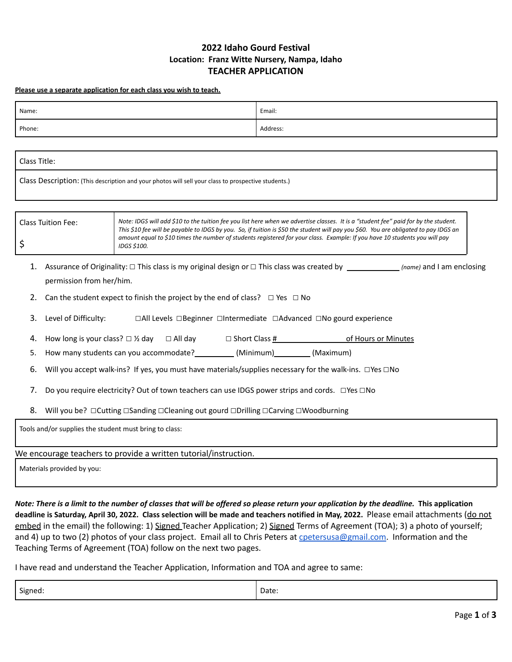## **2022 Idaho Gourd Festival Location: Franz Witte Nursery, Nampa, Idaho TEACHER APPLICATION**

**Please use a separate application for each class you wish to teach.**

| Name:                                                                                                                                                                                                                              |                                                                                                                                                                                                                                                                                                                                                                                                                          | Email:   |  |  |  |
|------------------------------------------------------------------------------------------------------------------------------------------------------------------------------------------------------------------------------------|--------------------------------------------------------------------------------------------------------------------------------------------------------------------------------------------------------------------------------------------------------------------------------------------------------------------------------------------------------------------------------------------------------------------------|----------|--|--|--|
| Phone:                                                                                                                                                                                                                             |                                                                                                                                                                                                                                                                                                                                                                                                                          | Address: |  |  |  |
|                                                                                                                                                                                                                                    |                                                                                                                                                                                                                                                                                                                                                                                                                          |          |  |  |  |
| Class Title:                                                                                                                                                                                                                       |                                                                                                                                                                                                                                                                                                                                                                                                                          |          |  |  |  |
| Class Description: (This description and your photos will sell your class to prospective students.)                                                                                                                                |                                                                                                                                                                                                                                                                                                                                                                                                                          |          |  |  |  |
| <b>Class Tuition Fee:</b><br>\$                                                                                                                                                                                                    | Note: IDGS will add \$10 to the tuition fee you list here when we advertise classes. It is a "student fee" paid for by the student.<br>This \$10 fee will be payable to IDGS by you. So, if tuition is \$50 the student will pay you \$60. You are obligated to pay IDGS an<br>amount equal to \$10 times the number of students registered for your class. Example: If you have 10 students you will pay<br>IDGS \$100. |          |  |  |  |
| 1.<br>permission from her/him.<br>Can the student expect to finish the project by the end of class? $\Box$ Yes $\Box$ No<br>2.<br>Level of Difficulty:<br>□All Levels □Beginner □Intermediate □Advanced □No gourd experience<br>3. |                                                                                                                                                                                                                                                                                                                                                                                                                          |          |  |  |  |
| 4.                                                                                                                                                                                                                                 |                                                                                                                                                                                                                                                                                                                                                                                                                          |          |  |  |  |
| How many students can you accommodate? __________ (Minimum) ________ (Maximum)<br>5.                                                                                                                                               |                                                                                                                                                                                                                                                                                                                                                                                                                          |          |  |  |  |
| Will you accept walk-ins? If yes, you must have materials/supplies necessary for the walk-ins. □Yes □No<br>6.                                                                                                                      |                                                                                                                                                                                                                                                                                                                                                                                                                          |          |  |  |  |
| Do you require electricity? Out of town teachers can use IDGS power strips and cords. □ Yes □ No<br>7.                                                                                                                             |                                                                                                                                                                                                                                                                                                                                                                                                                          |          |  |  |  |
| Will you be? □ Cutting □ Sanding □ Cleaning out gourd □ Drilling □ Carving □ Woodburning<br>8.                                                                                                                                     |                                                                                                                                                                                                                                                                                                                                                                                                                          |          |  |  |  |
| Tools and/or supplies the student must bring to class:                                                                                                                                                                             |                                                                                                                                                                                                                                                                                                                                                                                                                          |          |  |  |  |
| We encourage teachers to provide a written tutorial/instruction.                                                                                                                                                                   |                                                                                                                                                                                                                                                                                                                                                                                                                          |          |  |  |  |
| Materials provided by you:                                                                                                                                                                                                         |                                                                                                                                                                                                                                                                                                                                                                                                                          |          |  |  |  |

Note: There is a limit to the number of classes that will be offered so please return your application by the deadline. This application deadline is Saturday, April 30, 2022. Class selection will be made and teachers notified in May, 2022. Please email attachments (do not embed in the email) the following: 1) Signed Teacher Application; 2) Signed Terms of Agreement (TOA); 3) a photo of yourself; and 4) up to two (2) photos of your class project. Email all to Chris Peters at [cpetersusa@gmail.com](mailto:cpetersusa@gmail.com). Information and the Teaching Terms of Agreement (TOA) follow on the next two pages.

I have read and understand the Teacher Application, Information and TOA and agree to same:

| Signed:<br>. ت | Date: |
|----------------|-------|
|                |       |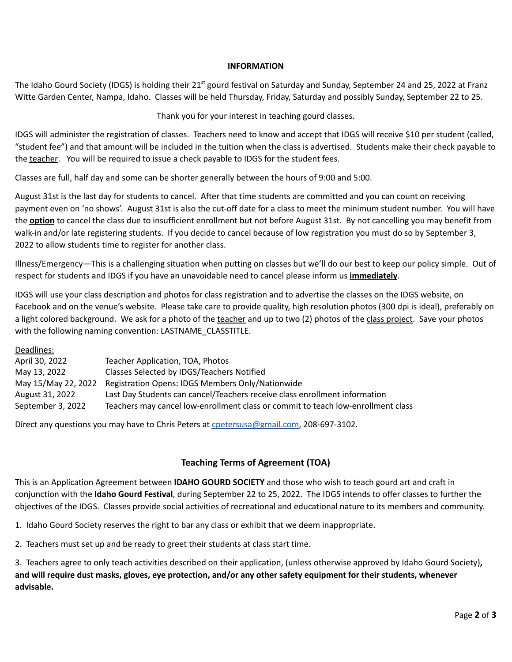## **INFORMATION**

The Idaho Gourd Society (IDGS) is holding their 21<sup>st</sup> gourd festival on Saturday and Sunday, September 24 and 25, 2022 at Franz Witte Garden Center, Nampa, Idaho. Classes will be held Thursday, Friday, Saturday and possibly Sunday, September 22 to 25.

Thank you for your interest in teaching gourd classes.

IDGS will administer the registration of classes. Teachers need to know and accept that IDGS will receive \$10 per student (called, "student fee") and that amount will be included in the tuition when the class is advertised. Students make their check payable to the teacher. You will be required to issue a check payable to IDGS for the student fees.

Classes are full, half day and some can be shorter generally between the hours of 9:00 and 5:00.

August 31st is the last day for students to cancel. After that time students are committed and you can count on receiving payment even on 'no shows'. August 31st is also the cut-off date for a class to meet the minimum student number. You will have the **option** to cancel the class due to insufficient enrollment but not before August 31st. By not cancelling you may benefit from walk-in and/or late registering students. If you decide to cancel because of low registration you must do so by September 3, 2022 to allow students time to register for another class.

Illness/Emergency—This is a challenging situation when putting on classes but we'll do our best to keep our policy simple. Out of respect for students and IDGS if you have an unavoidable need to cancel please inform us **immediately**.

IDGS will use your class description and photos for class registration and to advertise the classes on the IDGS website, on Facebook and on the venue's website. Please take care to provide quality, high resolution photos (300 dpi is ideal), preferably on a light colored background. We ask for a photo of the teacher and up to two (2) photos of the class project. Save your photos with the following naming convention: LASTNAME\_CLASSTITLE.

Deadlines:

| April 30, 2022      | Teacher Application, TOA, Photos                                                 |
|---------------------|----------------------------------------------------------------------------------|
| May 13, 2022        | Classes Selected by IDGS/Teachers Notified                                       |
| May 15/May 22, 2022 | Registration Opens: IDGS Members Only/Nationwide                                 |
| August 31, 2022     | Last Day Students can cancel/Teachers receive class enrollment information       |
| September 3, 2022   | Teachers may cancel low-enrollment class or commit to teach low-enrollment class |

Direct any questions you may have to Chris Peters at [cpetersusa@gmail.com,](mailto:cpetersusa@gmail.com) 208-697-3102.

## **Teaching Terms of Agreement (TOA)**

This is an Application Agreement between **IDAHO GOURD SOCIETY** and those who wish to teach gourd art and craft in conjunction with the **Idaho Gourd Festival**, during September 22 to 25, 2022. The IDGS intends to offer classes to further the objectives of the IDGS. Classes provide social activities of recreational and educational nature to its members and community.

1. Idaho Gourd Society reserves the right to bar any class or exhibit that we deem inappropriate.

2. Teachers must set up and be ready to greet their students at class start time.

3. Teachers agree to only teach activities described on their application, (unless otherwise approved by Idaho Gourd Society)**,** and will require dust masks, gloves, eye protection, and/or any other safety equipment for their students, whenever **advisable.**